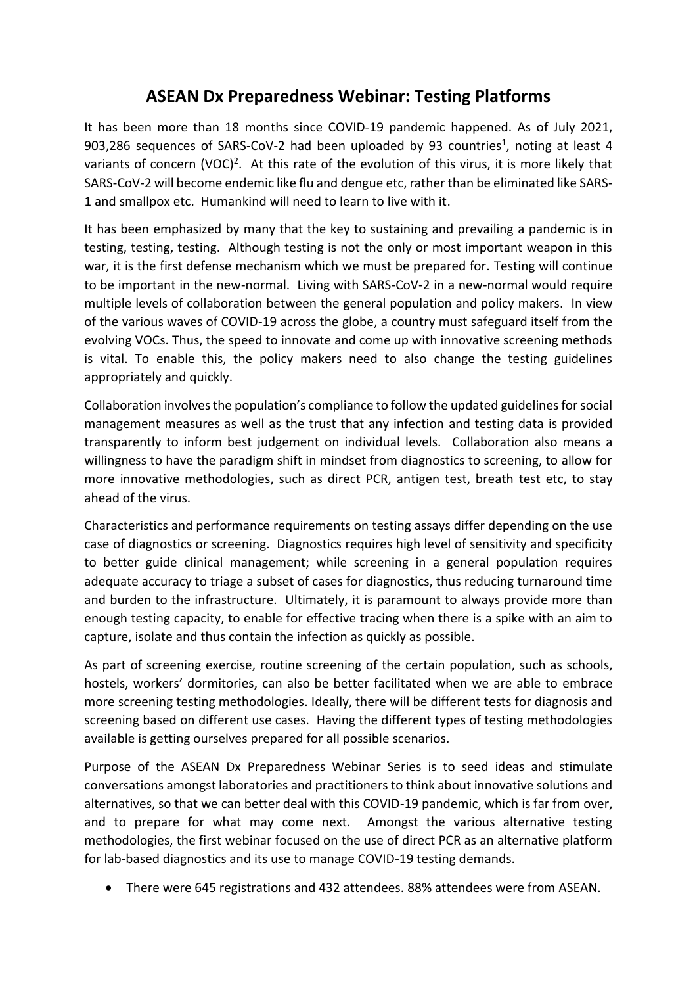## **ASEAN Dx Preparedness Webinar: Testing Platforms**

It has been more than 18 months since COVID-19 pandemic happened. As of July 2021, 903,286 sequences of SARS-CoV-2 had been uploaded by 93 countries<sup>1</sup>, noting at least 4 variants of concern (VOC)<sup>2</sup>. At this rate of the evolution of this virus, it is more likely that SARS-CoV-2 will become endemic like flu and dengue etc, rather than be eliminated like SARS-1 and smallpox etc. Humankind will need to learn to live with it.

It has been emphasized by many that the key to sustaining and prevailing a pandemic is in testing, testing, testing. Although testing is not the only or most important weapon in this war, it is the first defense mechanism which we must be prepared for. Testing will continue to be important in the new-normal. Living with SARS-CoV-2 in a new-normal would require multiple levels of collaboration between the general population and policy makers. In view of the various waves of COVID-19 across the globe, a country must safeguard itself from the evolving VOCs. Thus, the speed to innovate and come up with innovative screening methods is vital. To enable this, the policy makers need to also change the testing guidelines appropriately and quickly.

Collaboration involves the population's compliance to follow the updated guidelines for social management measures as well as the trust that any infection and testing data is provided transparently to inform best judgement on individual levels. Collaboration also means a willingness to have the paradigm shift in mindset from diagnostics to screening, to allow for more innovative methodologies, such as direct PCR, antigen test, breath test etc, to stay ahead of the virus.

Characteristics and performance requirements on testing assays differ depending on the use case of diagnostics or screening. Diagnostics requires high level of sensitivity and specificity to better guide clinical management; while screening in a general population requires adequate accuracy to triage a subset of cases for diagnostics, thus reducing turnaround time and burden to the infrastructure. Ultimately, it is paramount to always provide more than enough testing capacity, to enable for effective tracing when there is a spike with an aim to capture, isolate and thus contain the infection as quickly as possible.

As part of screening exercise, routine screening of the certain population, such as schools, hostels, workers' dormitories, can also be better facilitated when we are able to embrace more screening testing methodologies. Ideally, there will be different tests for diagnosis and screening based on different use cases. Having the different types of testing methodologies available is getting ourselves prepared for all possible scenarios.

Purpose of the ASEAN Dx Preparedness Webinar Series is to seed ideas and stimulate conversations amongst laboratories and practitioners to think about innovative solutions and alternatives, so that we can better deal with this COVID-19 pandemic, which is far from over, and to prepare for what may come next. Amongst the various alternative testing methodologies, the first webinar focused on the use of direct PCR as an alternative platform for lab-based diagnostics and its use to manage COVID-19 testing demands.

• There were 645 registrations and 432 attendees. 88% attendees were from ASEAN.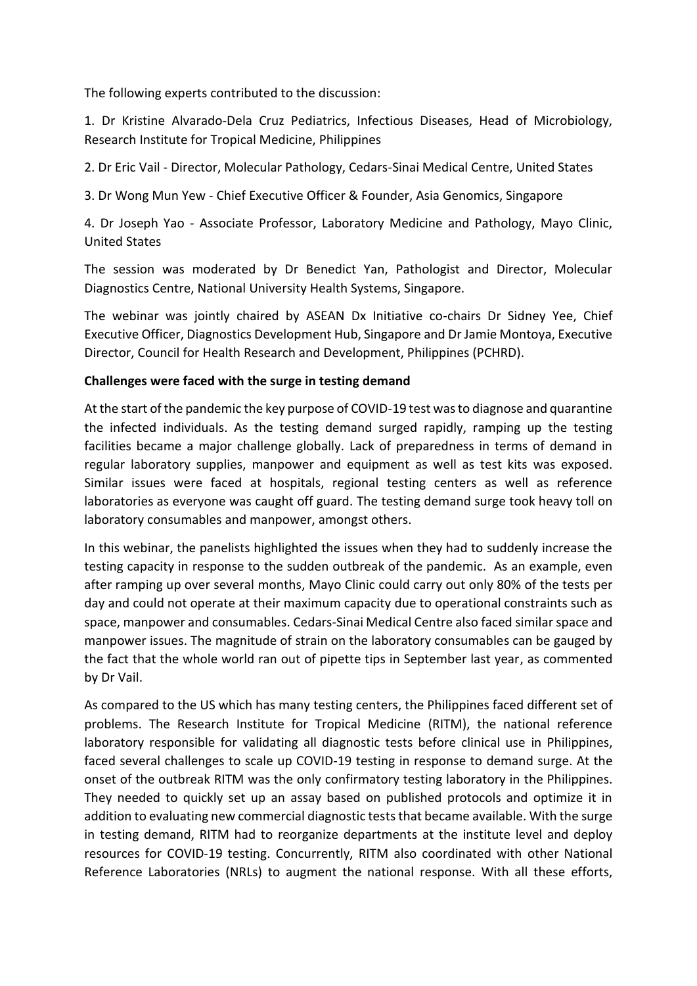The following experts contributed to the discussion:

1. Dr Kristine Alvarado-Dela Cruz Pediatrics, Infectious Diseases, Head of Microbiology, Research Institute for Tropical Medicine, Philippines

2. Dr Eric Vail - Director, Molecular Pathology, Cedars-Sinai Medical Centre, United States

3. Dr Wong Mun Yew - Chief Executive Officer & Founder, Asia Genomics, Singapore

4. Dr Joseph Yao - Associate Professor, Laboratory Medicine and Pathology, Mayo Clinic, United States

The session was moderated by Dr Benedict Yan, Pathologist and Director, Molecular Diagnostics Centre, National University Health Systems, Singapore.

The webinar was jointly chaired by ASEAN Dx Initiative co-chairs Dr Sidney Yee, Chief Executive Officer, Diagnostics Development Hub, Singapore and Dr Jamie Montoya, Executive Director, Council for Health Research and Development, Philippines (PCHRD).

## **Challenges were faced with the surge in testing demand**

At the start of the pandemic the key purpose of COVID-19 test was to diagnose and quarantine the infected individuals. As the testing demand surged rapidly, ramping up the testing facilities became a major challenge globally. Lack of preparedness in terms of demand in regular laboratory supplies, manpower and equipment as well as test kits was exposed. Similar issues were faced at hospitals, regional testing centers as well as reference laboratories as everyone was caught off guard. The testing demand surge took heavy toll on laboratory consumables and manpower, amongst others.

In this webinar, the panelists highlighted the issues when they had to suddenly increase the testing capacity in response to the sudden outbreak of the pandemic. As an example, even after ramping up over several months, Mayo Clinic could carry out only 80% of the tests per day and could not operate at their maximum capacity due to operational constraints such as space, manpower and consumables. Cedars-Sinai Medical Centre also faced similar space and manpower issues. The magnitude of strain on the laboratory consumables can be gauged by the fact that the whole world ran out of pipette tips in September last year, as commented by Dr Vail.

As compared to the US which has many testing centers, the Philippines faced different set of problems. The Research Institute for Tropical Medicine (RITM), the national reference laboratory responsible for validating all diagnostic tests before clinical use in Philippines, faced several challenges to scale up COVID-19 testing in response to demand surge. At the onset of the outbreak RITM was the only confirmatory testing laboratory in the Philippines. They needed to quickly set up an assay based on published protocols and optimize it in addition to evaluating new commercial diagnostic tests that became available. With the surge in testing demand, RITM had to reorganize departments at the institute level and deploy resources for COVID-19 testing. Concurrently, RITM also coordinated with other National Reference Laboratories (NRLs) to augment the national response. With all these efforts,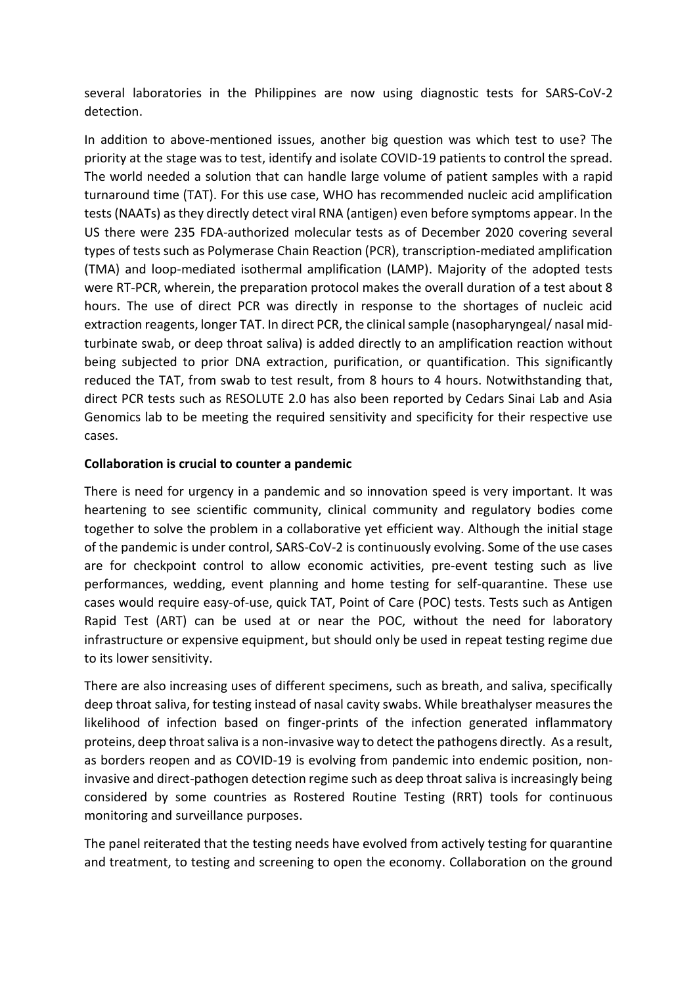several laboratories in the Philippines are now using diagnostic tests for SARS-CoV-2 detection.

In addition to above-mentioned issues, another big question was which test to use? The priority at the stage was to test, identify and isolate COVID-19 patients to control the spread. The world needed a solution that can handle large volume of patient samples with a rapid turnaround time (TAT). For this use case, WHO has recommended nucleic acid amplification tests (NAATs) as they directly detect viral RNA (antigen) even before symptoms appear. In the US there were 235 FDA-authorized molecular tests as of December 2020 covering several types of tests such as Polymerase Chain Reaction (PCR), transcription-mediated amplification (TMA) and loop-mediated isothermal amplification (LAMP). Majority of the adopted tests were RT-PCR, wherein, the preparation protocol makes the overall duration of a test about 8 hours. The use of direct PCR was directly in response to the shortages of nucleic acid extraction reagents, longer TAT. In direct PCR, the clinical sample (nasopharyngeal/ nasal midturbinate swab, or deep throat saliva) is added directly to an amplification reaction without being subjected to prior DNA extraction, purification, or quantification. This significantly reduced the TAT, from swab to test result, from 8 hours to 4 hours. Notwithstanding that, direct PCR tests such as RESOLUTE 2.0 has also been reported by Cedars Sinai Lab and Asia Genomics lab to be meeting the required sensitivity and specificity for their respective use cases.

## **Collaboration is crucial to counter a pandemic**

There is need for urgency in a pandemic and so innovation speed is very important. It was heartening to see scientific community, clinical community and regulatory bodies come together to solve the problem in a collaborative yet efficient way. Although the initial stage of the pandemic is under control, SARS-CoV-2 is continuously evolving. Some of the use cases are for checkpoint control to allow economic activities, pre-event testing such as live performances, wedding, event planning and home testing for self-quarantine. These use cases would require easy-of-use, quick TAT, Point of Care (POC) tests. Tests such as Antigen Rapid Test (ART) can be used at or near the POC, without the need for laboratory infrastructure or expensive equipment, but should only be used in repeat testing regime due to its lower sensitivity.

There are also increasing uses of different specimens, such as breath, and saliva, specifically deep throat saliva, for testing instead of nasal cavity swabs. While breathalyser measures the likelihood of infection based on finger-prints of the infection generated inflammatory proteins, deep throat saliva is a non-invasive way to detect the pathogens directly. As a result, as borders reopen and as COVID-19 is evolving from pandemic into endemic position, noninvasive and direct-pathogen detection regime such as deep throat saliva is increasingly being considered by some countries as Rostered Routine Testing (RRT) tools for continuous monitoring and surveillance purposes.

The panel reiterated that the testing needs have evolved from actively testing for quarantine and treatment, to testing and screening to open the economy. Collaboration on the ground